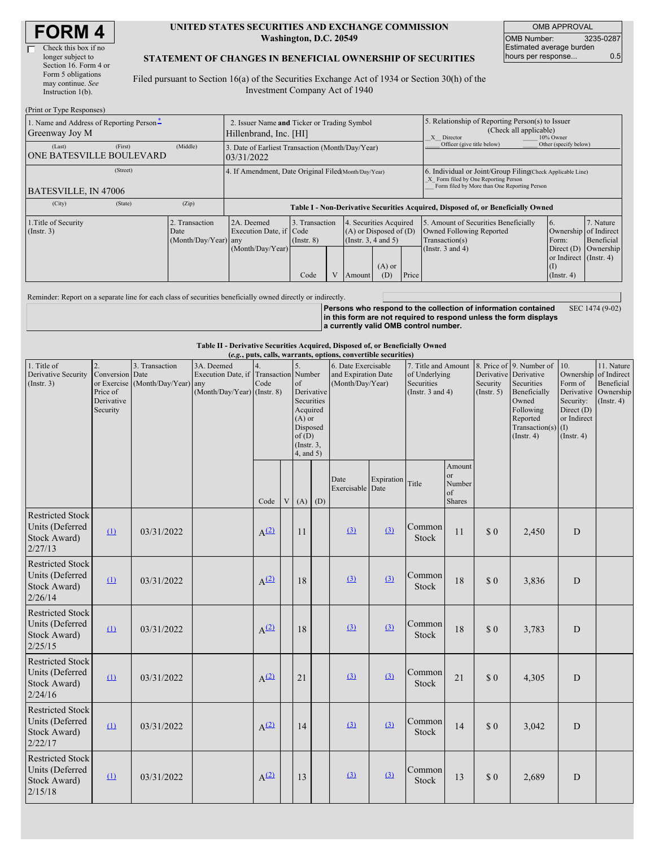| <b>FORM4</b> |  |
|--------------|--|
|--------------|--|

#### **UNITED STATES SECURITIES AND EXCHANGE COMMISSION Washington, D.C. 20549**

OMB APPROVAL OMB Number: 3235-0287 Estimated average burden hours per response... 0.5

#### **STATEMENT OF CHANGES IN BENEFICIAL OWNERSHIP OF SECURITIES**

Filed pursuant to Section 16(a) of the Securities Exchange Act of 1934 or Section 30(h) of the Investment Company Act of 1940

| (Print or Type Responses)                                  |                                                                       |                                                                |                                   |                       |                                                                                  |                                                                                                       |                                                                                                                                                    |                                                                                                             |                                                                                       |                                      |  |
|------------------------------------------------------------|-----------------------------------------------------------------------|----------------------------------------------------------------|-----------------------------------|-----------------------|----------------------------------------------------------------------------------|-------------------------------------------------------------------------------------------------------|----------------------------------------------------------------------------------------------------------------------------------------------------|-------------------------------------------------------------------------------------------------------------|---------------------------------------------------------------------------------------|--------------------------------------|--|
| 1. Name and Address of Reporting Person-<br>Greenway Joy M | 2. Issuer Name and Ticker or Trading Symbol<br>Hillenbrand, Inc. [HI] |                                                                |                                   |                       |                                                                                  | 5. Relationship of Reporting Person(s) to Issuer<br>(Check all applicable)<br>X Director<br>10% Owner |                                                                                                                                                    |                                                                                                             |                                                                                       |                                      |  |
| (First)<br>(Last)<br><b>ONE BATESVILLE BOULEVARD</b>       | (Middle)                                                              | 3. Date of Earliest Transaction (Month/Day/Year)<br>03/31/2022 | Officer (give title below)        | Other (specify below) |                                                                                  |                                                                                                       |                                                                                                                                                    |                                                                                                             |                                                                                       |                                      |  |
| (Street)<br><b>BATESVILLE, IN 47006</b>                    |                                                                       | 4. If Amendment, Date Original Filed Month/Day/Year)           |                                   |                       |                                                                                  |                                                                                                       | 6. Individual or Joint/Group Filing Check Applicable Line)<br>X Form filed by One Reporting Person<br>Form filed by More than One Reporting Person |                                                                                                             |                                                                                       |                                      |  |
| (City)<br>(State)                                          | (Zip)                                                                 |                                                                |                                   |                       |                                                                                  |                                                                                                       |                                                                                                                                                    | Table I - Non-Derivative Securities Acquired, Disposed of, or Beneficially Owned                            |                                                                                       |                                      |  |
| 1. Title of Security<br>$($ Instr. 3 $)$                   | Transaction<br>Date<br>(Month/Day/Year) any                           | 2A. Deemed<br>Execution Date, if Code<br>(Month/Day/Year)      | 3. Transaction<br>$($ Instr. $8)$ |                       | 4. Securities Acquired<br>$(A)$ or Disposed of $(D)$<br>(Instr. $3, 4$ and $5$ ) |                                                                                                       |                                                                                                                                                    | 5. Amount of Securities Beneficially<br>Owned Following Reported<br>Transaction(s)<br>(Instr. $3$ and $4$ ) | 6.<br>Ownership of Indirect<br>Form:<br>Direct $(D)$<br>or Indirect (Instr. 4)<br>(1) | 7. Nature<br>Beneficial<br>Ownership |  |
|                                                            |                                                                       |                                                                | Code                              |                       | Amount                                                                           | $(A)$ or<br>(D)                                                                                       | Price                                                                                                                                              |                                                                                                             | $($ Instr. 4 $)$                                                                      |                                      |  |

Reminder: Report on a separate line for each class of securities beneficially owned directly or indirectly.

**Persons who respond to the collection of information contained in this form are not required to respond unless the form displays a currently valid OMB control number.** SEC 1474 (9-02)

**Table II - Derivative Securities Acquired, Disposed of, or Beneficially Owned**

| (e.g., puts, calls, warrants, options, convertible securities)        |                                                             |                                                    |                                                                                      |                  |   |                                                                                                                          |  |                                                                |            |                                                                             |                                                          |                         |                                                                                                                                                    |                                                                                                    |                                                                                |
|-----------------------------------------------------------------------|-------------------------------------------------------------|----------------------------------------------------|--------------------------------------------------------------------------------------|------------------|---|--------------------------------------------------------------------------------------------------------------------------|--|----------------------------------------------------------------|------------|-----------------------------------------------------------------------------|----------------------------------------------------------|-------------------------|----------------------------------------------------------------------------------------------------------------------------------------------------|----------------------------------------------------------------------------------------------------|--------------------------------------------------------------------------------|
| 1. Title of<br>Derivative Security<br>(Insert. 3)                     | 2.<br>Conversion Date<br>Price of<br>Derivative<br>Security | 3. Transaction<br>or Exercise (Month/Day/Year) any | 3A. Deemed<br>Execution Date, if Transaction Number<br>$(Month/Day/Year)$ (Instr. 8) | 4.<br>Code       |   | 5.<br>of<br>Derivative<br>Securities<br>Acquired<br>$(A)$ or<br>Disposed<br>of(D)<br>$($ Instr. $3$ ,<br>$4$ , and $5$ ) |  | 6. Date Exercisable<br>and Expiration Date<br>(Month/Day/Year) |            | 7. Title and Amount<br>of Underlying<br>Securities<br>(Instr. $3$ and $4$ ) |                                                          | Security<br>(Insert. 5) | 8. Price of 9. Number of<br>Derivative Derivative<br>Securities<br>Beneficially<br>Owned<br>Following<br>Reported<br>Transaction(s)<br>(Insert. 4) | 10.<br>Ownership<br>Form of<br>Security:<br>Direct $(D)$<br>or Indirect<br>$\Omega$<br>(Insert. 4) | 11. Nature<br>of Indirect<br>Beneficial<br>Derivative Ownership<br>(Insert. 4) |
|                                                                       |                                                             |                                                    |                                                                                      | Code             | V | $(A)$ $(D)$                                                                                                              |  | Date<br>Exercisable Date                                       | Expiration | Title                                                                       | Amount<br><sub>or</sub><br>Number<br>of<br><b>Shares</b> |                         |                                                                                                                                                    |                                                                                                    |                                                                                |
| <b>Restricted Stock</b><br>Units (Deferred<br>Stock Award)<br>2/27/13 | $\Omega$                                                    | 03/31/2022                                         |                                                                                      | $A^{(2)}$        |   | 11                                                                                                                       |  | (3)                                                            | (3)        | Common<br>Stock                                                             | 11                                                       | \$0                     | 2,450                                                                                                                                              | D                                                                                                  |                                                                                |
| <b>Restricted Stock</b><br>Units (Deferred<br>Stock Award)<br>2/26/14 | $\Omega$                                                    | 03/31/2022                                         |                                                                                      | $A^{(2)}$        |   | 18                                                                                                                       |  | (3)                                                            | (3)        | Common<br>Stock                                                             | 18                                                       | \$0                     | 3,836                                                                                                                                              | D                                                                                                  |                                                                                |
| <b>Restricted Stock</b><br>Units (Deferred<br>Stock Award)<br>2/25/15 | $\Omega$                                                    | 03/31/2022                                         |                                                                                      | A <sup>(2)</sup> |   | 18                                                                                                                       |  | (3)                                                            | $\Omega$   | Common<br>Stock                                                             | 18                                                       | \$0                     | 3,783                                                                                                                                              | D                                                                                                  |                                                                                |
| <b>Restricted Stock</b><br>Units (Deferred<br>Stock Award)<br>2/24/16 | $\mathbf{\Omega}$                                           | 03/31/2022                                         |                                                                                      | $A^{(2)}$        |   | 21                                                                                                                       |  | (3)                                                            | (3)        | Common<br>Stock                                                             | 21                                                       | \$0                     | 4,305                                                                                                                                              | D                                                                                                  |                                                                                |
| <b>Restricted Stock</b><br>Units (Deferred<br>Stock Award)<br>2/22/17 | $\Omega$                                                    | 03/31/2022                                         |                                                                                      | $A^{(2)}$        |   | 14                                                                                                                       |  | (3)                                                            | (3)        | Common<br>Stock                                                             | 14                                                       | \$0                     | 3,042                                                                                                                                              | D                                                                                                  |                                                                                |
| <b>Restricted Stock</b><br>Units (Deferred<br>Stock Award)<br>2/15/18 | $\mathbf{\Omega}$                                           | 03/31/2022                                         |                                                                                      | A <sup>(2)</sup> |   | 13                                                                                                                       |  | (3)                                                            | (3)        | Common<br>Stock                                                             | 13                                                       | \$0                     | 2,689                                                                                                                                              | D                                                                                                  |                                                                                |